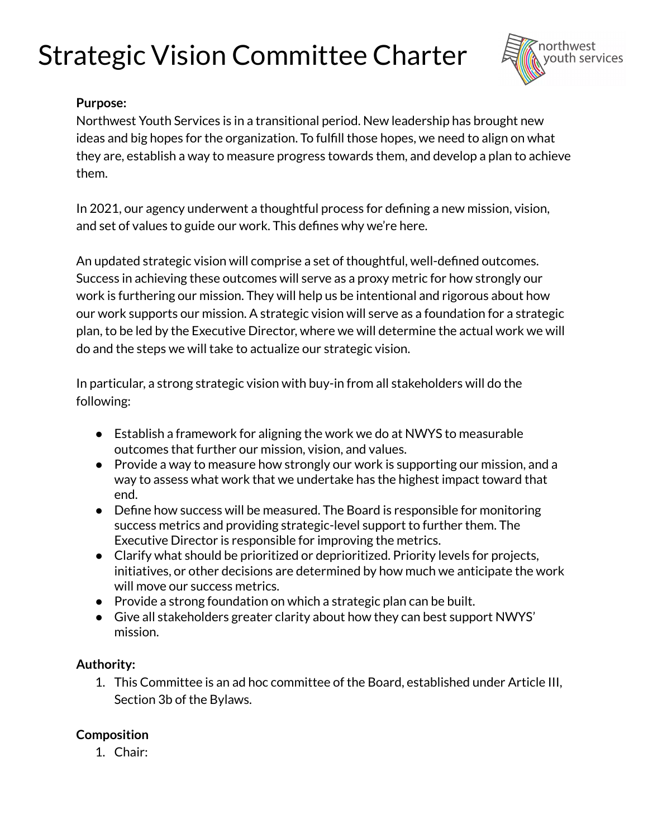# Strategic Vision Committee Charter



#### **Purpose:**

Northwest Youth Services is in a transitional period. New leadership has brought new ideas and big hopes for the organization. To fulfill those hopes, we need to align on what they are, establish a way to measure progress towards them, and develop a plan to achieve them.

In 2021, our agency underwent a thoughtful process for defining a new mission, vision, and set of values to guide our work. This defines why we're here.

An updated strategic vision will comprise a set of thoughtful, well-defined outcomes. Success in achieving these outcomes will serve as a proxy metric for how strongly our work is furthering our mission. They will help us be intentional and rigorous about how our work supports our mission. A strategic vision will serve as a foundation for a strategic plan, to be led by the Executive Director, where we will determine the actual work we will do and the steps we will take to actualize our strategic vision.

In particular, a strong strategic vision with buy-in from all stakeholders will do the following:

- Establish a framework for aligning the work we do at NWYS to measurable outcomes that further our mission, vision, and values.
- Provide a way to measure how strongly our work is supporting our mission, and a way to assess what work that we undertake has the highest impact toward that end.
- Define how success will be measured. The Board is responsible for monitoring success metrics and providing strategic-level support to further them. The Executive Director is responsible for improving the metrics.
- Clarify what should be prioritized or deprioritized. Priority levels for projects, initiatives, or other decisions are determined by how much we anticipate the work will move our success metrics.
- Provide a strong foundation on which a strategic plan can be built.
- Give all stakeholders greater clarity about how they can best support NWYS' mission.

### **Authority:**

1. This Committee is an ad hoc committee of the Board, established under Article III, Section 3b of the Bylaws.

### **Composition**

1. Chair: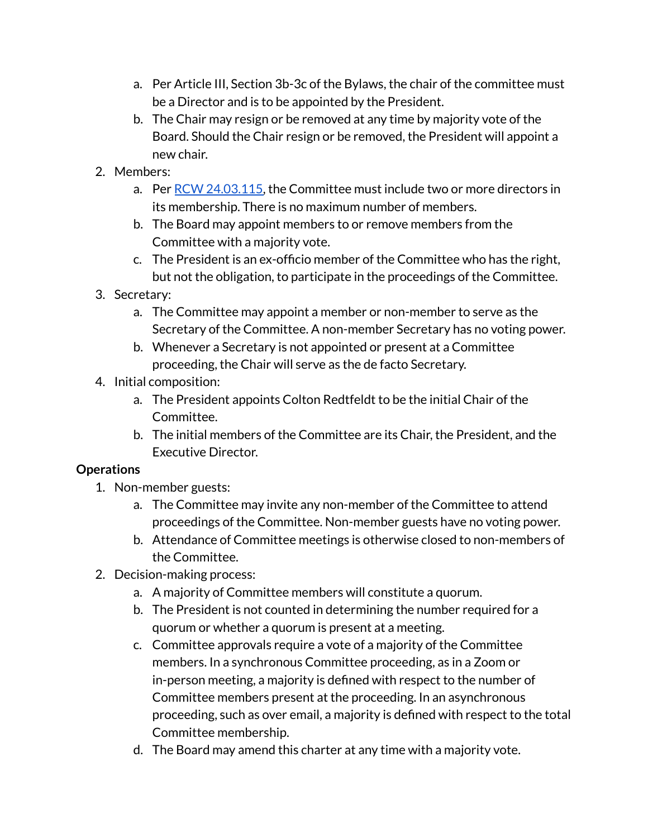- a. Per Article III, Section 3b-3c of the Bylaws, the chair of the committee must be a Director and is to be appointed by the President.
- b. The Chair may resign or be removed at any time by majority vote of the Board. Should the Chair resign or be removed, the President will appoint a new chair.
- 2. Members:
	- a. Per RCW [24.03.115,](https://app.leg.wa.gov/RCW/default.aspx?cite=24.03.115) the Committee must include two or more directors in its membership. There is no maximum number of members.
	- b. The Board may appoint members to or remove members from the Committee with a majority vote.
	- c. The President is an ex-officio member of the Committee who has the right, but not the obligation, to participate in the proceedings of the Committee.
- 3. Secretary:
	- a. The Committee may appoint a member or non-member to serve as the Secretary of the Committee. A non-member Secretary has no voting power.
	- b. Whenever a Secretary is not appointed or present at a Committee proceeding, the Chair will serve as the de facto Secretary.
- 4. Initial composition:
	- a. The President appoints Colton Redtfeldt to be the initial Chair of the Committee.
	- b. The initial members of the Committee are its Chair, the President, and the Executive Director.

## **Operations**

- 1. Non-member guests:
	- a. The Committee may invite any non-member of the Committee to attend proceedings of the Committee. Non-member guests have no voting power.
	- b. Attendance of Committee meetings is otherwise closed to non-members of the Committee.
- 2. Decision-making process:
	- a. A majority of Committee members will constitute a quorum.
	- b. The President is not counted in determining the number required for a quorum or whether a quorum is present at a meeting.
	- c. Committee approvals require a vote of a majority of the Committee members. In a synchronous Committee proceeding, as in a Zoom or in-person meeting, a majority is defined with respect to the number of Committee members present at the proceeding. In an asynchronous proceeding, such as over email, a majority is defined with respect to the total Committee membership.
	- d. The Board may amend this charter at any time with a majority vote.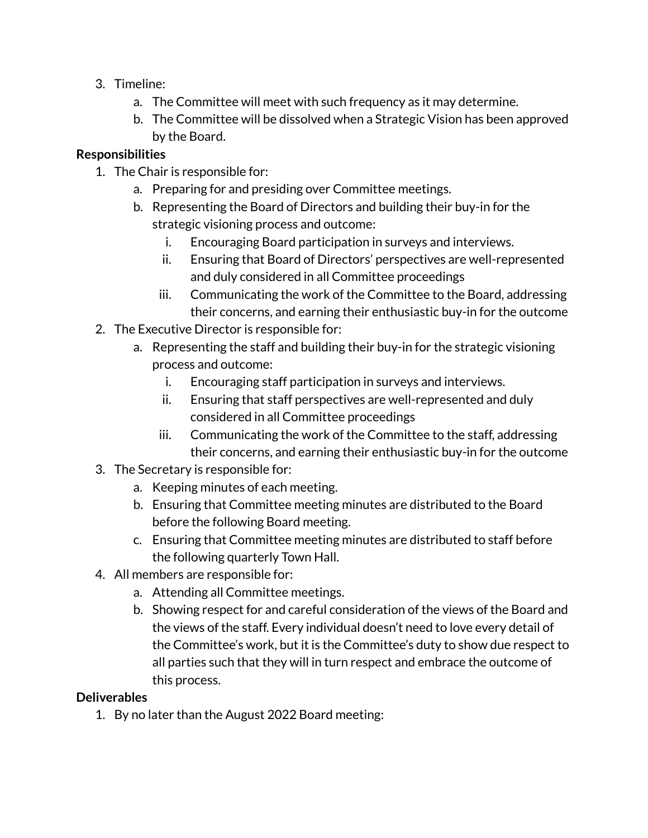- 3. Timeline:
	- a. The Committee will meet with such frequency as it may determine.
	- b. The Committee will be dissolved when a Strategic Vision has been approved by the Board.

## **Responsibilities**

- 1. The Chair is responsible for:
	- a. Preparing for and presiding over Committee meetings.
	- b. Representing the Board of Directors and building their buy-in for the strategic visioning process and outcome:
		- i. Encouraging Board participation in surveys and interviews.
		- ii. Ensuring that Board of Directors' perspectives are well-represented and duly considered in all Committee proceedings
		- iii. Communicating the work of the Committee to the Board, addressing their concerns, and earning their enthusiastic buy-in for the outcome
- 2. The Executive Director is responsible for:
	- a. Representing the staff and building their buy-in for the strategic visioning process and outcome:
		- i. Encouraging staff participation in surveys and interviews.
		- ii. Ensuring that staff perspectives are well-represented and duly considered in all Committee proceedings
		- iii. Communicating the work of the Committee to the staff, addressing their concerns, and earning their enthusiastic buy-in for the outcome
- 3. The Secretary is responsible for:
	- a. Keeping minutes of each meeting.
	- b. Ensuring that Committee meeting minutes are distributed to the Board before the following Board meeting.
	- c. Ensuring that Committee meeting minutes are distributed to staff before the following quarterly Town Hall.
- 4. All members are responsible for:
	- a. Attending all Committee meetings.
	- b. Showing respect for and careful consideration of the views of the Board and the views of the staff. Every individual doesn't need to love every detail of the Committee's work, but it is the Committee's duty to show due respect to all parties such that they will in turn respect and embrace the outcome of this process.

### **Deliverables**

1. By no later than the August 2022 Board meeting: